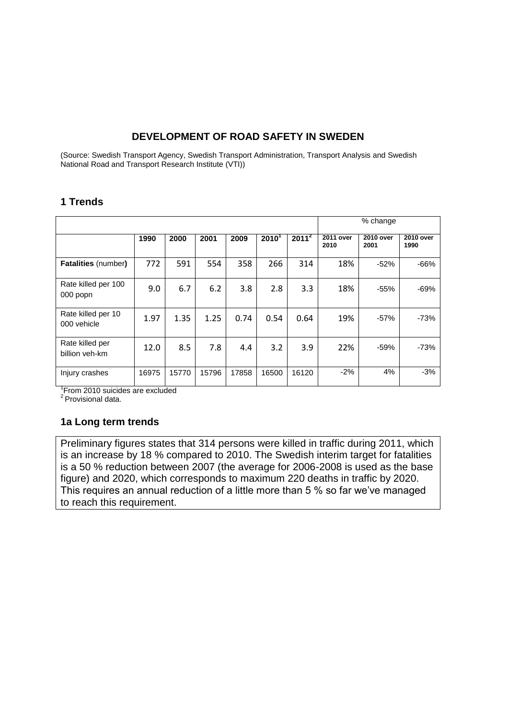# **DEVELOPMENT OF ROAD SAFETY IN SWEDEN**

(Source: Swedish Transport Agency, Swedish Transport Administration, Transport Analysis and Swedish National Road and Transport Research Institute (VTI))

## **1 Trends**

|                                   |       |       |       |       |          |          | % change                 |                   |                   |  |
|-----------------------------------|-------|-------|-------|-------|----------|----------|--------------------------|-------------------|-------------------|--|
|                                   | 1990  | 2000  | 2001  | 2009  | $2010^1$ | $2011^2$ | <b>2011 over</b><br>2010 | 2010 over<br>2001 | 2010 over<br>1990 |  |
| <b>Fatalities (number)</b>        | 772   | 591   | 554   | 358   | 266      | 314      | 18%                      | $-52%$            | $-66%$            |  |
| Rate killed per 100<br>000 popn   | 9.0   | 6.7   | 6.2   | 3.8   | 2.8      | 3.3      | 18%                      | $-55%$            | $-69%$            |  |
| Rate killed per 10<br>000 vehicle | 1.97  | 1.35  | 1.25  | 0.74  | 0.54     | 0.64     | 19%                      | $-57%$            | -73%              |  |
| Rate killed per<br>billion veh-km | 12.0  | 8.5   | 7.8   | 4.4   | 3.2      | 3.9      | 22%                      | $-59%$            | $-73%$            |  |
| Injury crashes                    | 16975 | 15770 | 15796 | 17858 | 16500    | 16120    | $-2%$                    | 4%                | $-3%$             |  |

 $^{\rm 1}$ From 2010 suicides are excluded<br> $^{\rm 2}$  Provisional data.

## **1a Long term trends**

Preliminary figures states that 314 persons were killed in traffic during 2011, which is an increase by 18 % compared to 2010. The Swedish interim target for fatalities is a 50 % reduction between 2007 (the average for 2006-2008 is used as the base figure) and 2020, which corresponds to maximum 220 deaths in traffic by 2020. This requires an annual reduction of a little more than 5 % so far we've managed to reach this requirement.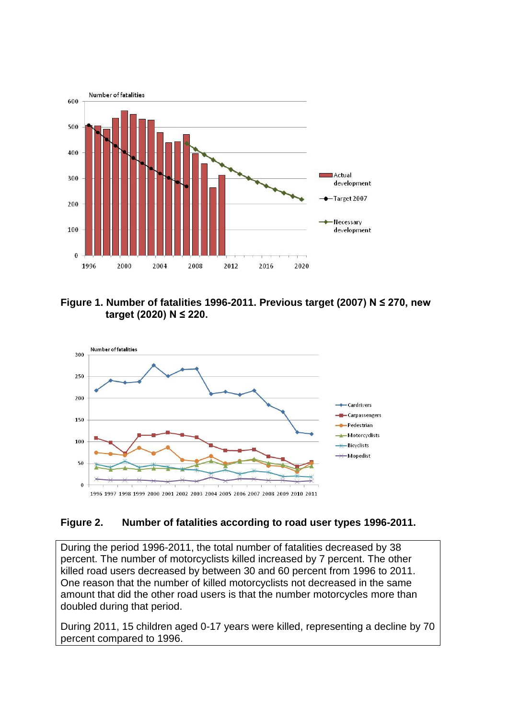

**Figure 1. Number of fatalities 1996-2011. Previous target (2007) N ≤ 270, new target (2020) N ≤ 220.**



## **Figure 2. Number of fatalities according to road user types 1996-2011.**

During the period 1996-2011, the total number of fatalities decreased by 38 percent. The number of motorcyclists killed increased by 7 percent. The other killed road users decreased by between 30 and 60 percent from 1996 to 2011. One reason that the number of killed motorcyclists not decreased in the same amount that did the other road users is that the number motorcycles more than doubled during that period.

During 2011, 15 children aged 0-17 years were killed, representing a decline by 70 percent compared to 1996.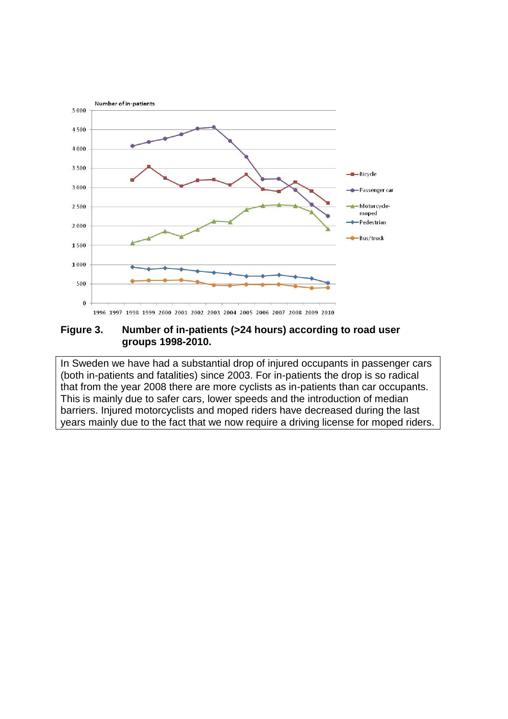

#### **Figure 3. Number of in-patients (>24 hours) according to road user groups 1998-2010.**

In Sweden we have had a substantial drop of injured occupants in passenger cars (both in-patients and fatalities) since 2003. For in-patients the drop is so radical that from the year 2008 there are more cyclists as in-patients than car occupants. This is mainly due to safer cars, lower speeds and the introduction of median barriers. Injured motorcyclists and moped riders have decreased during the last years mainly due to the fact that we now require a driving license for moped riders.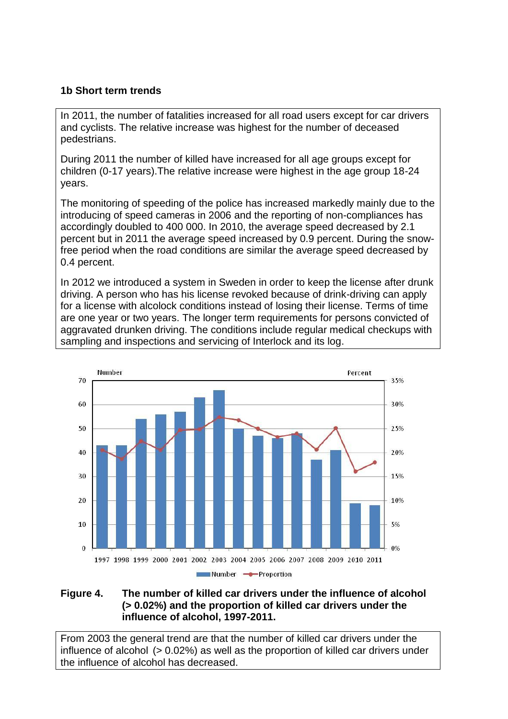## **1b Short term trends**

In 2011, the number of fatalities increased for all road users except for car drivers and cyclists. The relative increase was highest for the number of deceased pedestrians.

During 2011 the number of killed have increased for all age groups except for children (0-17 years).The relative increase were highest in the age group 18-24 years.

The monitoring of speeding of the police has increased markedly mainly due to the introducing of speed cameras in 2006 and the reporting of non-compliances has accordingly doubled to 400 000. In 2010, the average speed decreased by 2.1 percent but in 2011 the average speed increased by 0.9 percent. During the snowfree period when the road conditions are similar the average speed decreased by 0.4 percent.

In 2012 we introduced a system in Sweden in order to keep the license after drunk driving. A person who has his license revoked because of drink-driving can apply for a license with alcolock conditions instead of losing their license. Terms of time are one year or two years. The longer term requirements for persons convicted of aggravated drunken driving. The conditions include regular medical checkups with sampling and inspections and servicing of Interlock and its log.



## **Figure 4. The number of killed car drivers under the influence of alcohol (> 0.02%) and the proportion of killed car drivers under the influence of alcohol, 1997-2011.**

From 2003 the general trend are that the number of killed car drivers under the influence of alcohol (> 0.02%) as well as the proportion of killed car drivers under the influence of alcohol has decreased.